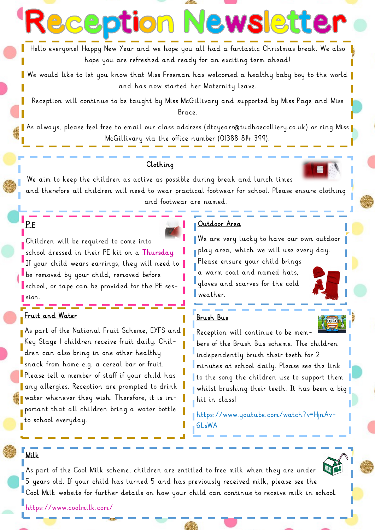Hello everyone! Happy New Year and we hope you all had a fantastic Christmas break. We also hope you are refreshed and ready for an exciting term ahead!

We would like to let you know that Miss Freeman has welcomed a healthy baby boy to the world and has now started her Maternity leave.

Reception will continue to be taught by Miss McGillivary and supported by Miss Page and Miss Brace.

As always, please feel free to email our class address (dtcyearr@tudhoecolliery.co.uk) or ring Miss McGillivary via the office number (01388 814 399).

### Clothing

**eption** l

We aim to keep the children as active as possible during break and lunch times and therefore all children will need to wear practical footwear for school. Please ensure clothing and footwear are named.

# Children will be required to come into school dressed in their PE kit on a Thursday. If your child wears earrings, they will need to be removed by your child, removed before school, or tape can be provided for the PE ses-

sion.

P.E

## <u>اس کے اس</u> Fruit and Water

As part of the National Fruit Scheme, EYFS and Key Stage 1 children receive fruit daily. Children can also bring in one other healthy snack from home e.g. a cereal bar or fruit. Please tell a member of staff if your child has any allergies. Reception are prompted to drink water whenever they wish. Therefore, it is important that all children bring a water bottle to school everyday.

# Outdoor Area

We are very lucky to have our own outdoor play area, which we will use every day. Please ensure your child brings a warm coat and named hats, gloves and scarves for the cold weather.

**EWSIETTE** 

#### Brush Bus



https://www.youtube.com/watch?v=HjnAv-6LsWA

#### Milk

As part of the Cool Milk scheme, children are entitled to free milk when they are under 5 years old. If your child has turned 5 and has previously received milk, please see the Cool Milk website for further details on how your child can continue to receive milk in school.



https://www.coolmilk.com/